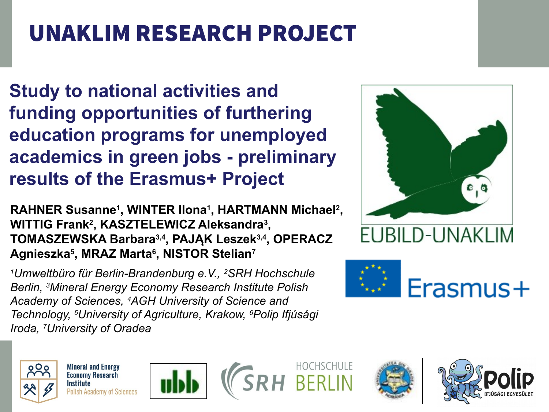# UNAKLIM RESEARCH PROJECT

**Study to national activities and funding opportunities of furthering education programs for unemployed academics in green jobs - preliminary results of the Erasmus+ Project**

**RAHNER Susanne<sup>1</sup> , WINTER Ilona<sup>1</sup> , HARTMANN Michael<sup>2</sup> , WITTIG Frank<sup>2</sup> , KASZTELEWICZ Aleksandra<sup>3</sup> , TOMASZEWSKA Barbara3,4, PAJĄK Leszek3,4, OPERACZ Agnieszka<sup>5</sup> , MRAZ Marta<sup>6</sup> , NISTOR Stelian<sup>7</sup>**

*<sup>1</sup>Umweltbüro für Berlin-Brandenburg e.V., 2SRH Hochschule Berlin, 3Mineral Energy Economy Research Institute Polish Academy of Sciences, 4AGH University of Science and Technology, 5University of Agriculture, Krakow, 6Polip Ifjúsági Iroda, 7University of Oradea*







**Mineral and Energy Economy Research Institute Polish Academy of Sciences** 







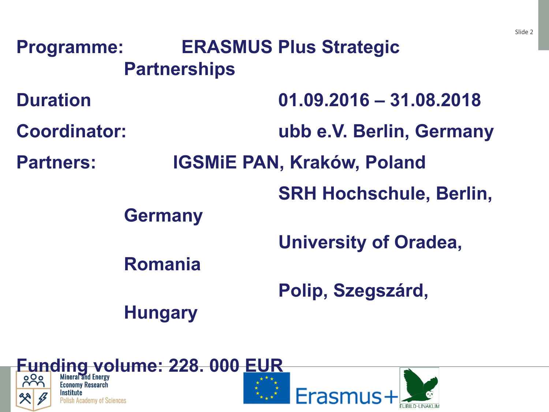| <b>Programme:</b>   |                                   | <b>ERASMUS Plus Strategic</b>  |  |  |
|---------------------|-----------------------------------|--------------------------------|--|--|
|                     | <b>Partnerships</b>               |                                |  |  |
| <b>Duration</b>     |                                   | $01.09.2016 - 31.08.2018$      |  |  |
| <b>Coordinator:</b> |                                   | ubb e.V. Berlin, Germany       |  |  |
| <b>Partners:</b>    | <b>IGSMIE PAN, Kraków, Poland</b> |                                |  |  |
|                     |                                   | <b>SRH Hochschule, Berlin,</b> |  |  |
|                     | <b>Germany</b>                    |                                |  |  |
|                     |                                   | <b>University of Oradea,</b>   |  |  |
|                     | <b>Romania</b>                    |                                |  |  |
|                     |                                   | Polip, Szegszárd,              |  |  |
|                     | <b>Hungary</b>                    |                                |  |  |
|                     |                                   |                                |  |  |



 $\sim$  France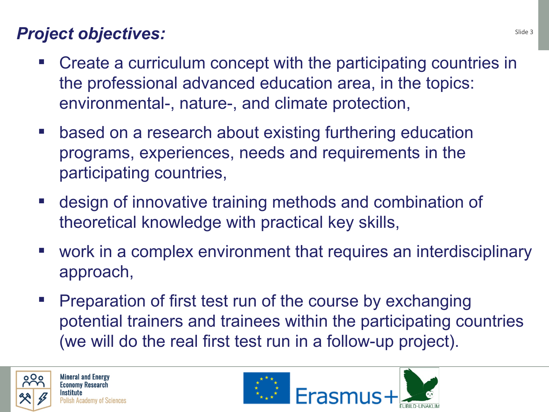### **Project objectives:** Slide 3

- Create a curriculum concept with the participating countries in the professional advanced education area, in the topics: environmental-, nature-, and climate protection,
- based on a research about existing furthering education programs, experiences, needs and requirements in the participating countries,
- design of innovative training methods and combination of theoretical knowledge with practical key skills,
- work in a complex environment that requires an interdisciplinary approach,
- **Preparation of first test run of the course by exchanging** potential trainers and trainees within the participating countries (we will do the real first test run in a follow-up project).



OOO Mineral and Energy<br>
Foonomy Research **Institute**<br>Polish Academy of Sciences

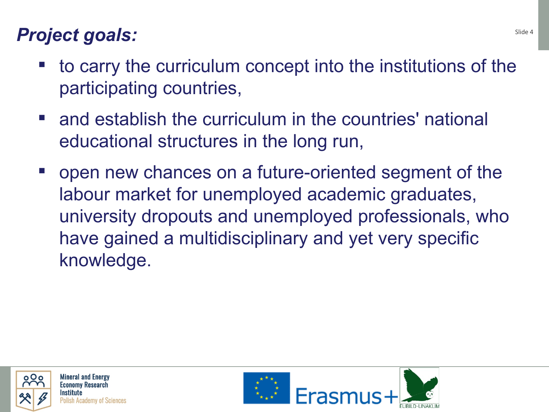## **Project goals:** Slide 4 *Project goals:*

- to carry the curriculum concept into the institutions of the participating countries,
- and establish the curriculum in the countries' national educational structures in the long run,
- open new chances on a future-oriented segment of the labour market for unemployed academic graduates, university dropouts and unemployed professionals, who have gained a multidisciplinary and yet very specific knowledge.



OOO Mineral and Energy<br>
Foonomy Research UNMKLI, Krakow Conference –,ay 31st 2017

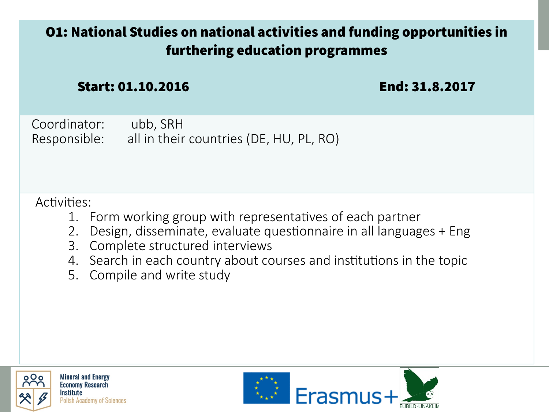#### O1: National Studies on national activities and funding opportunities in furthering education programmes

Start: 01.10.2016 End: 31.8.2017

Coordinator: ubb, SRH Responsible: all in their countries (DE, HU, PL, RO)

#### Activities:

- 1. Form working group with representatives of each partner
- 2. Design, disseminate, evaluate questionnaire in all languages + Eng
- 3. Complete structured interviews
- 4. Search in each country about courses and institutions in the topic
- 5. Compile and write study



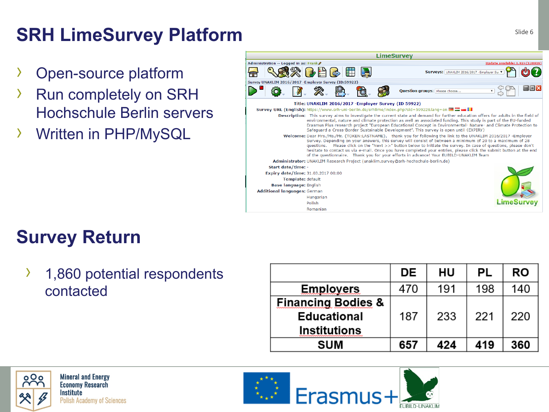## **SRH LimeSurvey Platform**

- Open-source platform
- Run completely on SRH Hochschule Berlin servers
- › Written in PHP/MySQL



## **Survey Return**

› 1,860 potential respondents contacted

|                               | DE  | HU  | PL  | <b>RO</b> |
|-------------------------------|-----|-----|-----|-----------|
| <b>Employers</b>              | 470 | 191 | 198 | 140       |
| <b>Financing Bodies &amp;</b> |     |     |     |           |
| <b>Educational</b>            | 187 | 233 | 221 | 220       |
| <b>Institutions</b>           |     |     |     |           |
| <b>SUM</b>                    | 657 | 424 | 419 | 360       |



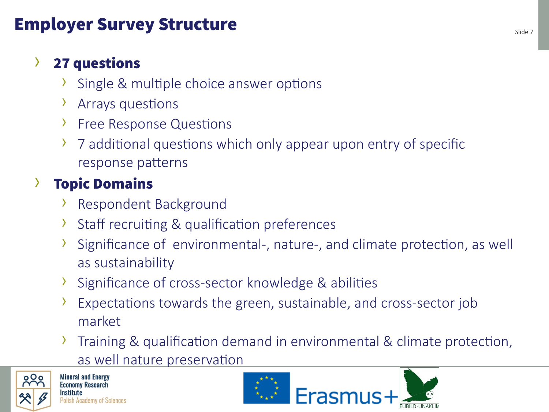### Employer Survey Structure Employer Survey Structure

#### › 27 questions

- $\lambda$  Single & multiple choice answer options
- > Arrays questions
- **Free Response Questions**
- 7 additional questions which only appear upon entry of specific response paterns

## › Topic Domains

- > Respondent Background
- $\lambda$  Staff recruiting & qualification preferences
- Significance of environmental-, nature-, and climate protection, as well as sustainability
- Significance of cross-sector knowledge & abilities
- Expectations towards the green, sustainable, and cross-sector job market
- Training & qualification demand in environmental & climate protection, as well nature preservation



Mineral and Energy<br>Economy Research UNMKLI, Krakow Conference –,ay 31st 2017

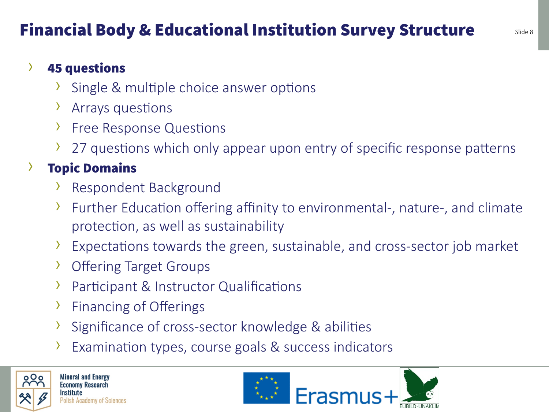## Financial Body & Educational Institution Survey Structure Slide 8

#### › 45 questions

- Single & multiple choice answer options
- > Arrays questions
- › Free Response Questions
- $\lambda$  27 questions which only appear upon entry of specific response patterns

#### **Topic Domains**

- **>** Respondent Background
- $\lambda$  Further Education offering affinity to environmental-, nature-, and climate protection, as well as sustainability
- $\lambda$  Expectations towards the green, sustainable, and cross-sector job market
- **>** Offering Target Groups
- **>** Participant & Instructor Qualifications
- $\overline{\phantom{a}}$  Financing of Offerings
- $\lambda$  Significance of cross-sector knowledge & abilities
- Examination types, course goals & success indicators



Mineral and Energy<br>Economy Research UNMKLI, Krakow Conference –,ay 31st 2017

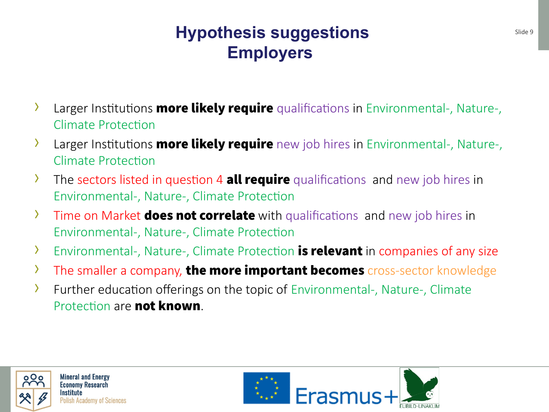### **Hypothesis suggestions** Slide 9 Slide 9 **Employers**

- $\lambda$  Larger Institutions **more likely require** qualifications in Environmental-, Nature-, Climate Protection
- $\lambda$  Larger Institutions **more likely require** new job hires in Environmental-, Nature-, Climate Protection
- $\lambda$  The sectors listed in question 4 **all require** qualifications and new job hires in Environmental-, Nature-, Climate Protection
- $\lambda$  Time on Market **does not correlate** with qualifications and new job hires in Environmental-, Nature-, Climate Protection
- $\lambda$  Environmental-, Nature-, Climate Protection **is relevant** in companies of any size
- $\lambda$  The smaller a company, the more important becomes cross-sector knowledge
- $\lambda$  Further education offerings on the topic of Environmental-, Nature-, Climate Protection are not known.



OOO Mineral and Energy<br>
Foonomy Research **Institute**<br>Polish Academy of Sciences

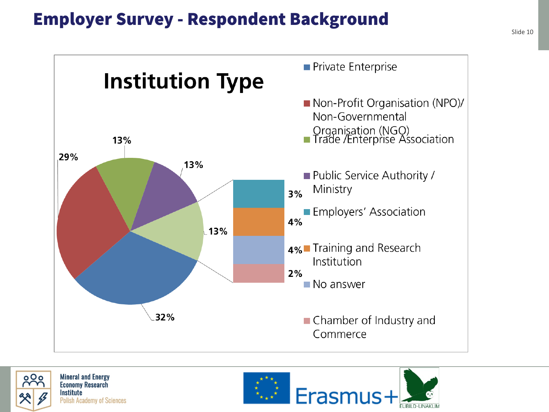#### Employer Survey - Respondent Background





**OOO** Mineral and Energy<br> **Frank Witter** Economy Research **Institute**<br>Polish Academy of Sciences

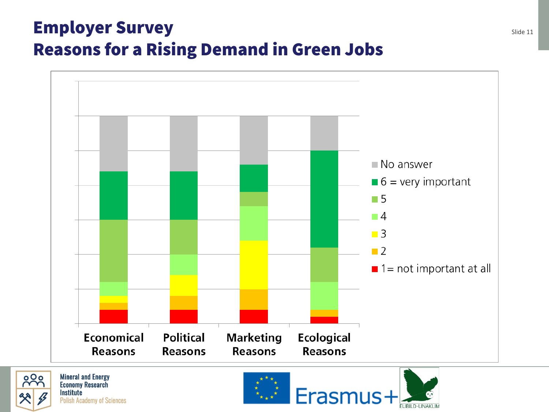## **Employer Survey Survey Survey Survey Survey Supersyrve Survey Sulfar Supersyrve Survey Sulfar Discover Survey** Reasons for a Rising Demand in Green Jobs





**Institute**<br>Polish Academy of Sciences

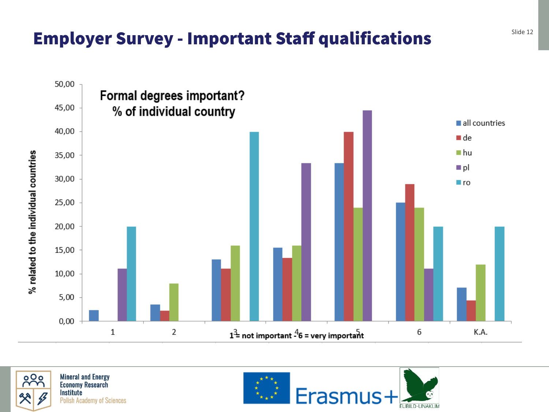### Employer Survey - Important Staff qualifications **Slide 12** Slide 12





OOO Mineral and Energy **Institute**<br>Polish Academy of Sciences

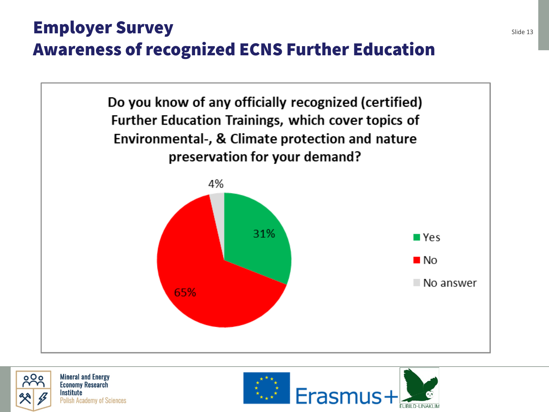## **Employer Survey Survey Survey Survey Survey Supersyrve Survey Supersyrve Supersyrve Supersyrve Supersyrve Supersyrve Supersyrve Supersyrve Supersyrve Supersyrve Supersyrve Supersyrve Supersyrve Supersyrve Supersyrve Super** Awareness of recognized ECNS Further Education





a Oo Mineral and Energy<br>
Franch Home Economy Research **Institute**<br>Polish Academy of Sciences

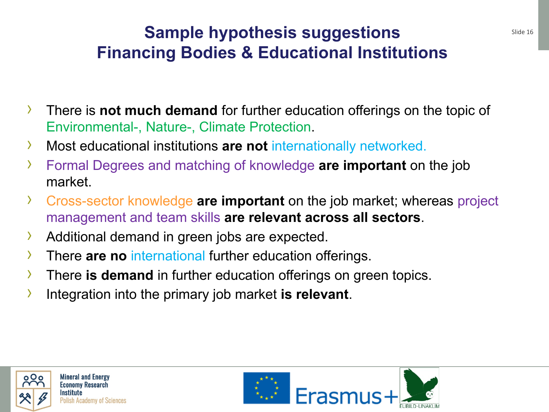### **Sample hypothesis suggestions** Slide 16 **Financing Bodies & Educational Institutions**

- › There is **not much demand** for further education offerings on the topic of Environmental-, Nature-, Climate Protection.
- › Most educational institutions **are not** internationally networked.
- › Formal Degrees and matching of knowledge **are important** on the job market.
- › Cross-sector knowledge **are important** on the job market; whereas project management and team skills **are relevant across all sectors**.
- › Additional demand in green jobs are expected.
- › There **are no** international further education offerings.
- › There **is demand** in further education offerings on green topics.
- › Integration into the primary job market **is relevant**.



OOO Mineral and Energy<br>
Foonomy Research UNMKLI, Krakow Conference –,ay 31st 2017

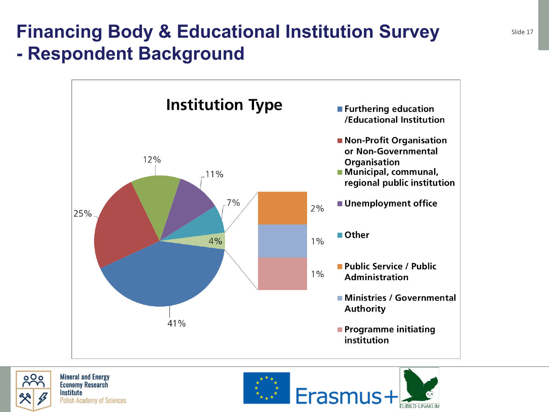## **Financing Body & Educational Institution Survey Slide 17** Slide 17 **- Respondent Background**





o O o Mineral and Energy<br>
Franch Management Research **Institute**<br>Polish Academy of Sciences

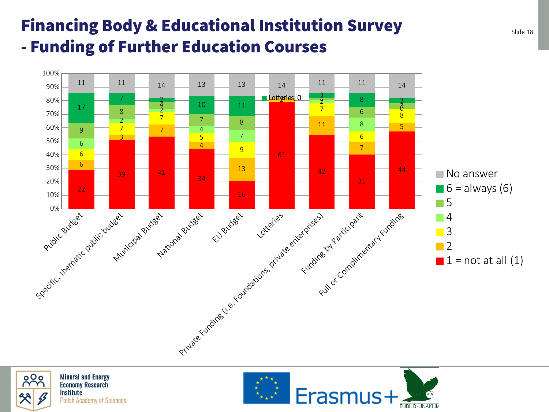### Financing Body & Educational Institution Survey side 18 - Funding of Further Education Courses





OOO Mineral and Energy **Institute**<br>Polish Academy of Sciences

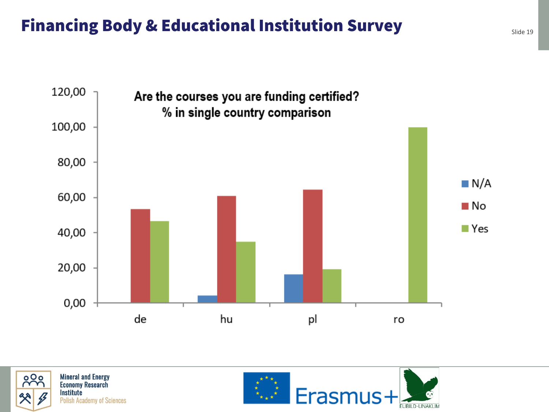### Financing Body & Educational Institution Survey silide 19





OOO Mineral and Energy **Institute**<br>Polish Academy of Sciences

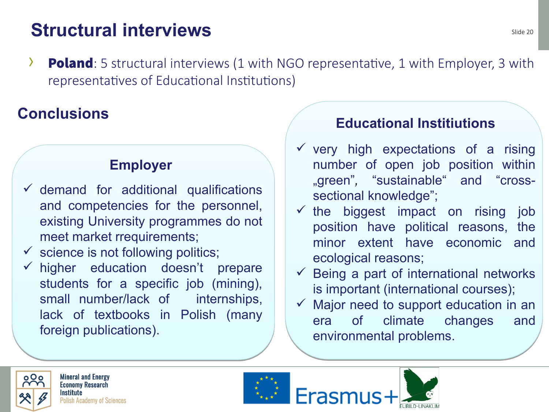## **Structural interviews**

**• Poland**: 5 structural interviews  $(1 \text{ with } NGO \text{ represent}$  ative, 1 with Employer, 3 with representatives of Educational Institutions)

#### **Conclusions**

#### **Employer**

- $\checkmark$  demand for additional qualifications and competencies for the personnel, existing University programmes do not meet market rrequirements;
- $\checkmark$  science is not following politics;
- $\checkmark$  higher education doesn't prepare students for a specific job (mining), small number/lack of internships, lack of textbooks in Polish (many foreign publications).

#### **Educational Institiutions**

- $\checkmark$  very high expectations of a rising number of open job position within "green"*,* "sustainable" and "crosssectional knowledge";
- $\checkmark$  the biggest impact on rising job position have political reasons, the minor extent have economic and ecological reasons;
- $\checkmark$  Being a part of international networks is important (international courses);
- $\checkmark$  Major need to support education in an era of climate changes and environmental problems.